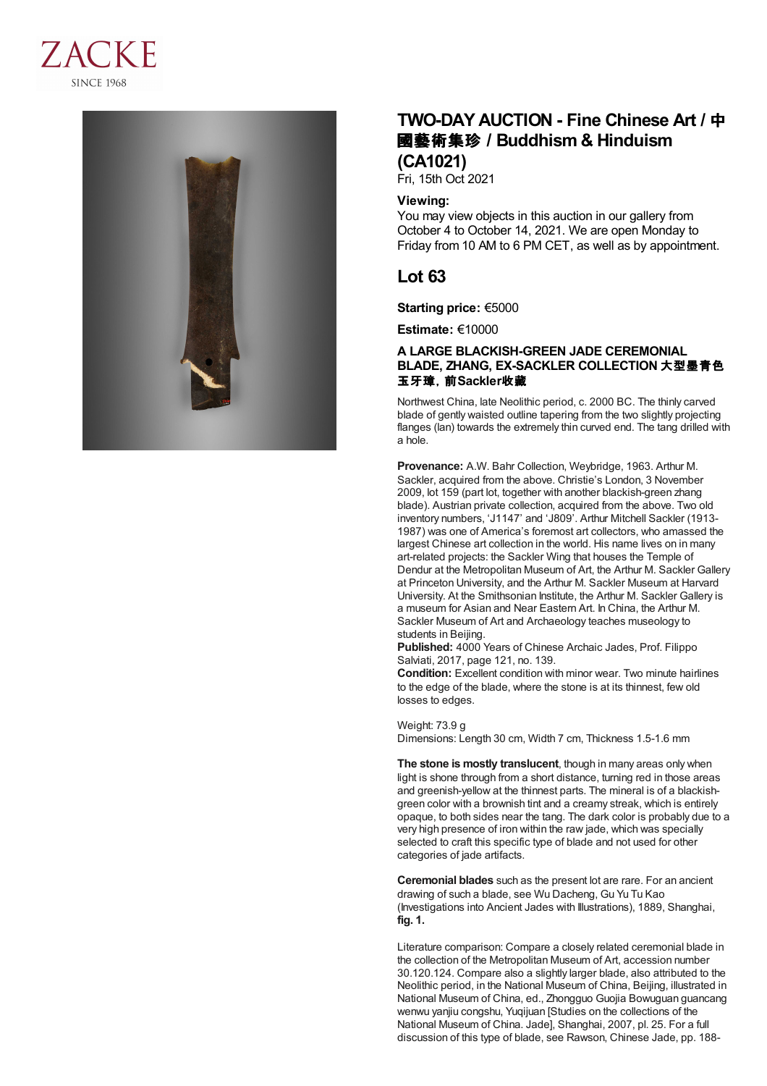



# **TWO-DAY AUCTION - Fine Chinese Art /** 中 國藝術集珍 **/Buddhism & Hinduism (CA1021)**

Fri, 15th Oct 2021

## **Viewing:**

You may view objects in this auction in our gallery from October 4 to October 14, 2021. We are open Monday to Friday from 10 AM to 6 PM CET, as well as by appointment.

## **Lot 63**

**Starting price:** €5000

**Estimate:** €10000

## **A LARGE BLACKISH-GREEN JADE CEREMONIAL BLADE, ZHANG, EX-SACKLER COLLECTION** 大型墨青色 玉牙璋,前**Sackler**收藏

Northwest China, late Neolithic period, c. 2000 BC. The thinly carved blade of gently waisted outline tapering from the two slightly projecting flanges (lan) towards the extremely thin curved end. The tang drilled with a hole.

**Provenance:** A.W. Bahr Collection, Weybridge, 1963. Arthur M. Sackler, acquired from the above. Christie's London, 3 November 2009, lot 159 (part lot, together with another blackish-green zhang blade). Austrian private collection, acquired from the above. Two old inventory numbers, 'J1147' and 'J809'. Arthur Mitchell Sackler (1913- 1987) was one of America's foremost art collectors, who amassed the largest Chinese art collection in the world. His name lives on in many art-related projects: the Sackler Wing that houses the Temple of Dendur at the Metropolitan Museum of Art, the Arthur M. Sackler Gallery at Princeton University, and the Arthur M. Sackler Museum at Harvard University. At the Smithsonian Institute, the Arthur M. Sackler Gallery is a museum for Asian and Near Eastern Art. In China, the Arthur M. Sackler Museum of Art and Archaeology teaches museology to students in Beijing.

**Published:** 4000 Years of Chinese Archaic Jades, Prof. Filippo Salviati, 2017, page 121, no. 139.

**Condition:** Excellent condition with minor wear. Two minute hairlines to the edge of the blade, where the stone is at its thinnest, few old losses to edges.

### Weight: 73.9 g

Dimensions: Length 30 cm, Width 7 cm, Thickness 1.5-1.6 mm

**The stone is mostly translucent**, though in many areas only when light is shone through from a short distance, turning red in those areas and greenish-yellow at the thinnest parts. The mineral is of a blackishgreen color with a brownish tint and a creamy streak, which is entirely opaque, to both sides near the tang. The dark color is probably due to a very high presence of iron within the raw jade, which was specially selected to craft this specific type of blade and not used for other categories of jade artifacts.

**Ceremonial blades** such as the present lot are rare. For an ancient drawing of such a blade, see Wu Dacheng, Gu Yu Tu Kao (Investigations into Ancient Jades with Illustrations), 1889, Shanghai, **fig. 1.**

Literature comparison: Compare a closely related ceremonial blade in the collection of the Metropolitan Museum of Art, accession number 30.120.124. Compare also a slightly larger blade, also attributed to the Neolithic period, in the National Museum of China, Beijing, illustrated in National Museum of China, ed., Zhongguo Guojia Bowuguan guancang wenwu yanjiu congshu, Yuqijuan [Studies on the collections of the National Museum of China. Jade], Shanghai, 2007, pl. 25. For a full discussion of this type of blade, see Rawson, Chinese Jade, pp. 188-